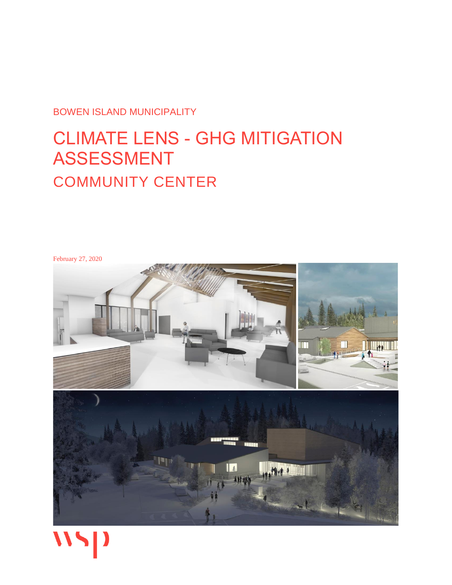BOWEN ISLAND MUNICIPALITY

# CLIMATE LENS - GHG MITIGATION ASSESSMENT COMMUNITY CENTER



WSP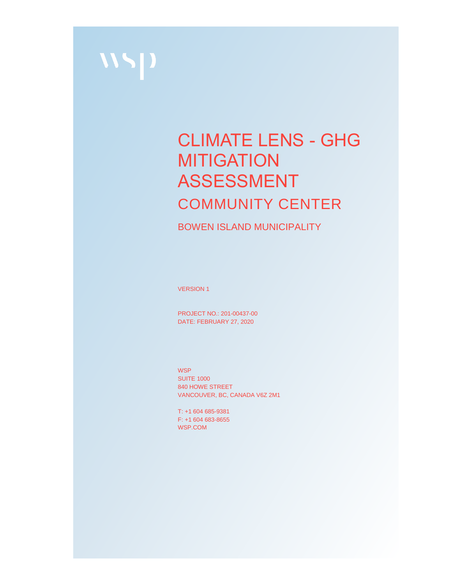

# CLIMATE LENS - GHG **MITIGATION** ASSESSMENT COMMUNITY CENTER

BOWEN ISLAND MUNICIPALITY

VERSION 1

PROJECT NO.: 201-00437-00 DATE: FEBRUARY 27, 2020

**WSP SUITE 1000** 840 HOWE STREET VANCOUVER, BC, CANADA V6Z 2M1

T: +1 604 685-9381 F: +1 604 683-8655 WSP.COM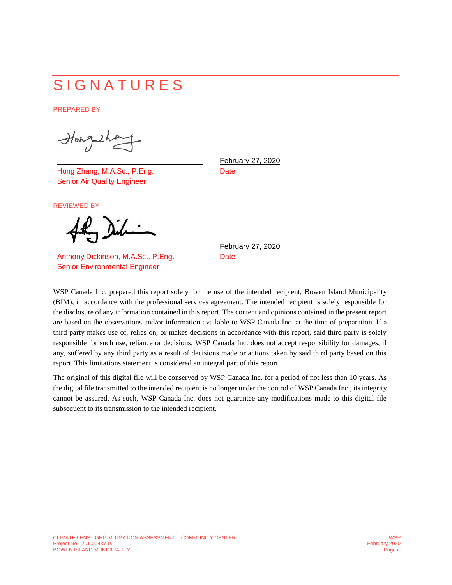# **SIGNATURES**

PREPARED BY

Hongsha

Hong Zhang, M.A.Sc., P.Eng. Senior Air Quality Engineer

REVIEWED BY

Anthony Dickinson, M.A.Sc., P.Eng. Senior Environmental Engineer

February 27, 2020 **Date** 

February 27, 2020 **Date** 

WSP Canada Inc. prepared this report solely for the use of the intended recipient, Bowen Island Municipality (BIM), in accordance with the professional services agreement. The intended recipient is solely responsible for the disclosure of any information contained in this report. The content and opinions contained in the present report are based on the observations and/or information available to WSP Canada Inc. at the time of preparation. If a third party makes use of, relies on, or makes decisions in accordance with this report, said third party is solely responsible for such use, reliance or decisions. WSP Canada Inc. does not accept responsibility for damages, if any, suffered by any third party as a result of decisions made or actions taken by said third party based on this report. This limitations statement is considered an integral part of this report.

The original of this digital file will be conserved by WSP Canada Inc. for a period of not less than 10 years. As the digital file transmitted to the intended recipient is no longer under the control of WSP Canada Inc., its integrity cannot be assured. As such, WSP Canada Inc. does not guarantee any modifications made to this digital file subsequent to its transmission to the intended recipient.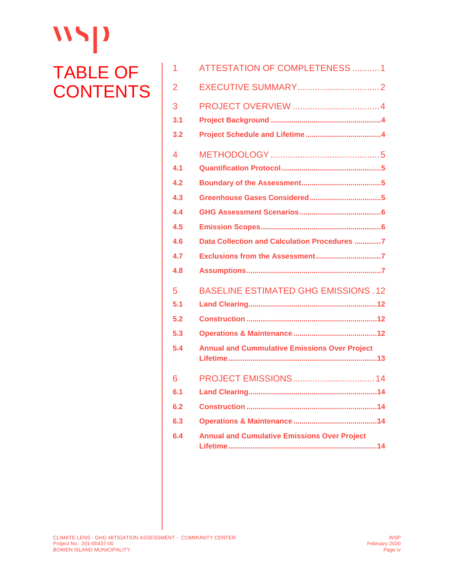# $\mathbf{W}$ TABLE OF **CONTENTS**

| 1              | <b>ATTESTATION OF COMPLETENESS 1</b>                 |
|----------------|------------------------------------------------------|
| $\overline{2}$ |                                                      |
| 3              |                                                      |
| 3.1            |                                                      |
| 3.2            |                                                      |
| $\overline{4}$ |                                                      |
| 4.1            |                                                      |
| 4.2            |                                                      |
| 4.3            |                                                      |
| 4.4            |                                                      |
| 4.5            |                                                      |
| 4.6            | Data Collection and Calculation Procedures 7         |
| 4.7            |                                                      |
| 4.8            |                                                      |
| 5              | <b>BASELINE ESTIMATED GHG EMISSIONS.12</b>           |
| 5.1            |                                                      |
| 5.2            |                                                      |
| 5.3            |                                                      |
| 5.4            | <b>Annual and Cummulative Emissions Over Project</b> |
| 6              |                                                      |
| 6.1            |                                                      |
| 6.2            |                                                      |
| 6.3            |                                                      |
| 6.4            | <b>Annual and Cumulative Emissions Over Project</b>  |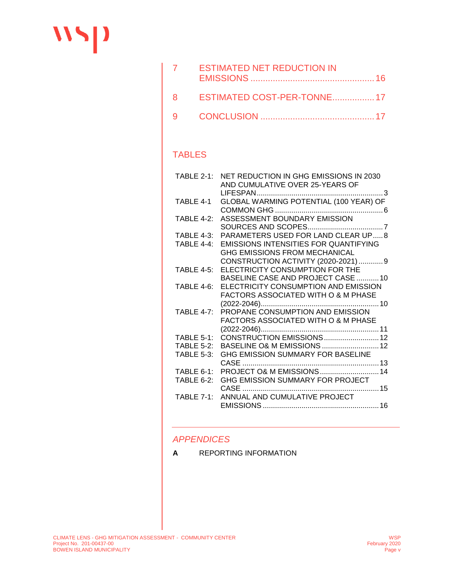# $\mathbf{W}$

| $\overline{7}$ | <b>ESTIMATED NET REDUCTION IN</b> |  |
|----------------|-----------------------------------|--|
|                | 8 ESTIMATED COST-PER-TONNE17      |  |
|                |                                   |  |

#### TABLES

| $TABLE 2-1:$      | NET REDUCTION IN GHG EMISSIONS IN 2030<br>AND CUMULATIVE OVER 25-YEARS OF     |
|-------------------|-------------------------------------------------------------------------------|
| TABLE 4-1         | $\sim$ 3<br>GLOBAL WARMING POTENTIAL (100 YEAR) OF                            |
| TABLE $4-2$ :     | ASSESSMENT BOUNDARY EMISSION                                                  |
| <b>TABLE 4-3:</b> | PARAMETERS USED FOR LAND CLEAR UP8                                            |
| TABLE $4-4$ :     | <b>EMISSIONS INTENSITIES FOR QUANTIFYING</b><br>GHG EMISSIONS FROM MECHANICAL |
|                   | CONSTRUCTION ACTIVITY (2020-2021)9                                            |
| <b>TABLE 4-5:</b> | ELECTRICITY CONSUMPTION FOR THE                                               |
|                   | BASELINE CASE AND PROJECT CASE 10                                             |
| <b>TABLE 4-6:</b> | ELECTRICITY CONSUMPTION AND EMISSION                                          |
|                   | FACTORS ASSOCIATED WITH O & M PHASE                                           |
|                   |                                                                               |
| TABLE $4-7$ :     | PROPANE CONSUMPTION AND EMISSION                                              |
|                   | <b>FACTORS ASSOCIATED WITH O &amp; M PHASE</b>                                |
|                   | $(2022 - 2046)$                                                               |
| TABLE $5-1$ :     | CONSTRUCTION EMISSIONS12                                                      |
| <b>TABLE 5-2:</b> | BASELINE O& M EMISSIONS  12                                                   |
| <b>TABLE 5-3:</b> | GHG EMISSION SUMMARY FOR BASELINE                                             |
|                   |                                                                               |
| $TABLE 6-1:$      | PROJECT O& M EMISSIONS  14                                                    |
| $TABLE 6-2:$      | GHG EMISSION SUMMARY FOR PROJECT                                              |
| TABLE 7-1:        | CASE<br>ANNUAL AND CUMULATIVE PROJECT                                         |
|                   |                                                                               |
|                   |                                                                               |

#### *APPENDICES*

**A** [REPORTING INFORMATION](#page-22-0)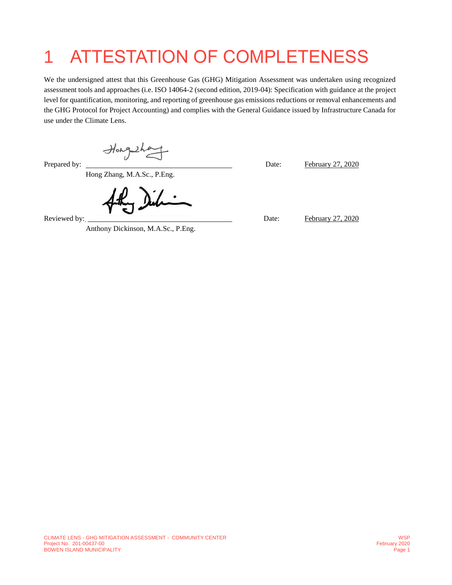# <span id="page-5-0"></span>1 ATTESTATION OF COMPLETENESS

We the undersigned attest that this Greenhouse Gas (GHG) Mitigation Assessment was undertaken using recognized assessment tools and approaches (i.e. ISO 14064-2 (second edition, 2019-04): Specification with guidance at the project level for quantification, monitoring, and reporting of greenhouse gas emissions reductions or removal enhancements and the GHG Protocol for Project Accounting) and complies with the General Guidance issued by Infrastructure Canada for use under the Climate Lens.

Hong that Date: February 27, 2020

Hong Zhang, M.A.Sc., P.Eng.

Anthony Dickinson, M.A.Sc., P.Eng.

Reviewed by: <u>February 27, 2020</u>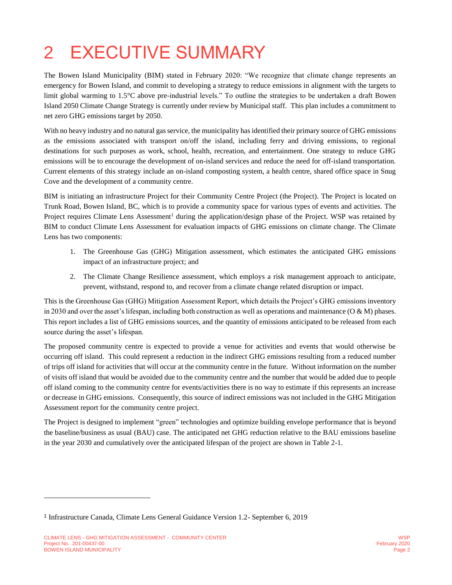# <span id="page-6-0"></span>2 EXECUTIVE SUMMARY

The Bowen Island Municipality (BIM) stated in February 2020: "We recognize that climate change represents an emergency for Bowen Island, and commit to developing a strategy to reduce emissions in alignment with the targets to limit global warming to 1.5°C above pre-industrial levels." To outline the strategies to be undertaken a draft Bowen Island 2050 Climate Change Strategy is currently under review by Municipal staff. This plan includes a commitment to net zero GHG emissions target by 2050.

With no heavy industry and no natural gas service, the municipality has identified their primary source of GHG emissions as the emissions associated with transport on/off the island, including ferry and driving emissions, to regional destinations for such purposes as work, school, health, recreation, and entertainment. One strategy to reduce GHG emissions will be to encourage the development of on-island services and reduce the need for off-island transportation. Current elements of this strategy include an on-island composting system, a health centre, shared office space in Snug Cove and the development of a community centre.

BIM is initiating an infrastructure Project for their Community Centre Project (the Project). The Project is located on Trunk Road, Bowen Island, BC, which is to provide a community space for various types of events and activities. The Project requires Climate Lens Assessment<sup>1</sup> during the application/design phase of the Project. WSP was retained by BIM to conduct Climate Lens Assessment for evaluation impacts of GHG emissions on climate change. The Climate Lens has two components:

- <span id="page-6-1"></span>1. The Greenhouse Gas (GHG) Mitigation assessment, which estimates the anticipated GHG emissions impact of an infrastructure project; and
- 2. The Climate Change Resilience assessment, which employs a risk management approach to anticipate, prevent, withstand, respond to, and recover from a climate change related disruption or impact.

This is the Greenhouse Gas (GHG) Mitigation Assessment Report, which details the Project's GHG emissions inventory in 2030 and over the asset's lifespan, including both construction as well as operations and maintenance  $(O \& M)$  phases. This report includes a list of GHG emissions sources, and the quantity of emissions anticipated to be released from each source during the asset's lifespan.

The proposed community centre is expected to provide a venue for activities and events that would otherwise be occurring off island. This could represent a reduction in the indirect GHG emissions resulting from a reduced number of trips off island for activities that will occur at the community centre in the future. Without information on the number of visits off island that would be avoided due to the community centre and the number that would be added due to people off island coming to the community centre for events/activities there is no way to estimate if this represents an increase or decrease in GHG emissions. Consequently, this source of indirect emissions was not included in the GHG Mitigation Assessment report for the community centre project.

The Project is designed to implement "green" technologies and optimize building envelope performance that is beyond the baseline/business as usual (BAU) case. The anticipated net GHG reduction relative to the BAU emissions baseline in the year 2030 and cumulatively over the anticipated lifespan of the project are shown in [Table 2-1.](#page-7-0)

l

<sup>&</sup>lt;sup>1</sup> Infrastructure Canada, Climate Lens General Guidance Version 1.2- September 6, 2019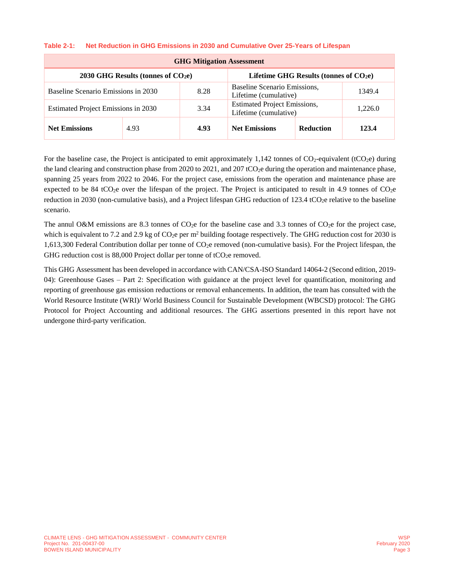#### <span id="page-7-0"></span>**Table 2-1: Net Reduction in GHG Emissions in 2030 and Cumulative Over 25-Years of Lifespan**

| <b>GHG Mitigation Assessment</b>                                                   |      |      |                                                              |                  |         |  |
|------------------------------------------------------------------------------------|------|------|--------------------------------------------------------------|------------------|---------|--|
| $2030$ GHG Results (tonnes of $CO2e$ )<br>Lifetime GHG Results (tonnes of $CO2e$ ) |      |      |                                                              |                  |         |  |
| Baseline Scenario Emissions in 2030                                                |      | 8.28 | Baseline Scenario Emissions,<br>Lifetime (cumulative)        |                  | 1349.4  |  |
| Estimated Project Emissions in 2030                                                |      | 3.34 | <b>Estimated Project Emissions,</b><br>Lifetime (cumulative) |                  | 1,226.0 |  |
| <b>Net Emissions</b>                                                               | 4.93 | 4.93 | <b>Net Emissions</b>                                         | <b>Reduction</b> | 123.4   |  |

For the baseline case, the Project is anticipated to emit approximately  $1,142$  tonnes of CO<sub>2</sub>-equivalent (tCO<sub>2</sub>e) during the land clearing and construction phase from 2020 to 2021, and 207 tCO<sub>2</sub>e during the operation and maintenance phase, spanning 25 years from 2022 to 2046. For the project case, emissions from the operation and maintenance phase are expected to be 84 tCO<sub>2</sub>e over the lifespan of the project. The Project is anticipated to result in 4.9 tonnes of CO<sub>2</sub>e reduction in 2030 (non-cumulative basis), and a Project lifespan GHG reduction of  $123.4$  tCO<sub>2</sub>e relative to the baseline scenario.

The annul O&M emissions are 8.3 tonnes of  $CO<sub>2</sub>e$  for the baseline case and 3.3 tonnes of  $CO<sub>2</sub>e$  for the project case, which is equivalent to 7.2 and 2.9 kg of  $CO<sub>2</sub>e$  per m<sup>2</sup> building footage respectively. The GHG reduction cost for 2030 is 1,613,300 Federal Contribution dollar per tonne of CO2e removed (non-cumulative basis). For the Project lifespan, the GHG reduction cost is 88,000 Project dollar per tonne of tCO<sub>2</sub>e removed.

This GHG Assessment has been developed in accordance with CAN/CSA-ISO Standard 14064-2 (Second edition, 2019- 04): Greenhouse Gases – Part 2: Specification with guidance at the project level for quantification, monitoring and reporting of greenhouse gas emission reductions or removal enhancements. In addition, the team has consulted with the World Resource Institute (WRI)/ World Business Council for Sustainable Development (WBCSD) protocol: The GHG Protocol for Project Accounting and additional resources. The GHG assertions presented in this report have not undergone third-party verification.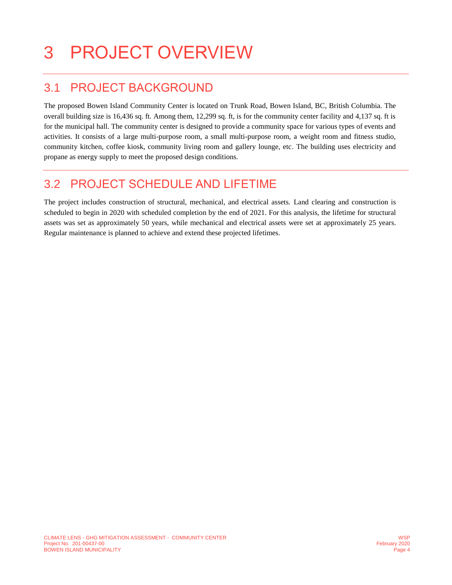# <span id="page-8-0"></span>3 PROJECT OVERVIEW

### <span id="page-8-1"></span>3.1 PROJECT BACKGROUND

The proposed Bowen Island Community Center is located on Trunk Road, Bowen Island, BC, British Columbia. The overall building size is 16,436 sq. ft. Among them, 12,299 sq. ft, is for the community center facility and 4,137 sq. ft is for the municipal hall. The community center is designed to provide a community space for various types of events and activities. It consists of a large multi-purpose room, a small multi-purpose room, a weight room and fitness studio, community kitchen, coffee kiosk, community living room and gallery lounge, etc. The building uses electricity and propane as energy supply to meet the proposed design conditions.

### <span id="page-8-2"></span>3.2 PROJECT SCHEDULE AND LIFETIME

The project includes construction of structural, mechanical, and electrical assets. Land clearing and construction is scheduled to begin in 2020 with scheduled completion by the end of 2021. For this analysis, the lifetime for structural assets was set as approximately 50 years, while mechanical and electrical assets were set at approximately 25 years. Regular maintenance is planned to achieve and extend these projected lifetimes.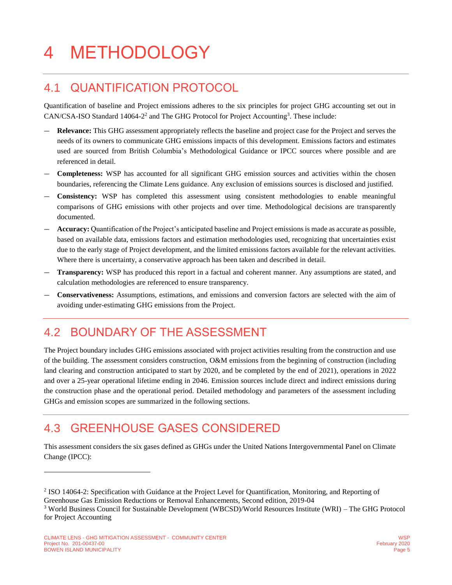# <span id="page-9-0"></span>4 METHODOLOGY

### <span id="page-9-1"></span>4.1 QUANTIFICATION PROTOCOL

Quantification of baseline and Project emissions adheres to the six principles for project GHG accounting set out in CAN/CSA-ISO Standard 14064-2<sup>2</sup> and The GHG Protocol for Project Accounting<sup>3</sup>. These include:

- **Relevance:** This GHG assessment appropriately reflects the baseline and project case for the Project and serves the needs of its owners to communicate GHG emissions impacts of this development. Emissions factors and estimates used are sourced from British Columbia's Methodological Guidance or IPCC sources where possible and are referenced in detail.
- **Completeness:** WSP has accounted for all significant GHG emission sources and activities within the chosen boundaries, referencing the Climate Lens guidance. Any exclusion of emissions sources is disclosed and justified.
- **Consistency:** WSP has completed this assessment using consistent methodologies to enable meaningful comparisons of GHG emissions with other projects and over time. Methodological decisions are transparently documented.
- **Accuracy:** Quantification of the Project's anticipated baseline and Project emissions is made as accurate as possible, based on available data, emissions factors and estimation methodologies used, recognizing that uncertainties exist due to the early stage of Project development, and the limited emissions factors available for the relevant activities. Where there is uncertainty, a conservative approach has been taken and described in detail.
- **Transparency:** WSP has produced this report in a factual and coherent manner. Any assumptions are stated, and calculation methodologies are referenced to ensure transparency.
- **Conservativeness:** Assumptions, estimations, and emissions and conversion factors are selected with the aim of avoiding under-estimating GHG emissions from the Project.

### <span id="page-9-2"></span>4.2 BOUNDARY OF THE ASSESSMENT

The Project boundary includes GHG emissions associated with project activities resulting from the construction and use of the building. The assessment considers construction, O&M emissions from the beginning of construction (including land clearing and construction anticipated to start by 2020, and be completed by the end of 2021), operations in 2022 and over a 25-year operational lifetime ending in 2046. Emission sources include direct and indirect emissions during the construction phase and the operational period. Detailed methodology and parameters of the assessment including GHGs and emission scopes are summarized in the following sections.

### <span id="page-9-3"></span>4.3 GREENHOUSE GASES CONSIDERED

This assessment considers the six gases defined as GHGs under the United Nations Intergovernmental Panel on Climate Change (IPCC):

 $\overline{a}$ 

<sup>&</sup>lt;sup>2</sup> ISO 14064-2: Specification with Guidance at the Project Level for Quantification, Monitoring, and Reporting of

Greenhouse Gas Emission Reductions or Removal Enhancements, Second edition, 2019-04

<sup>3</sup> World Business Council for Sustainable Development (WBCSD)/World Resources Institute (WRI) – The GHG Protocol for Project Accounting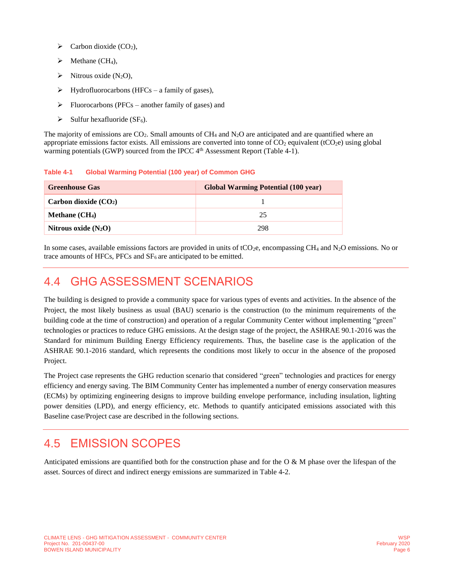- $\triangleright$  Carbon dioxide (CO<sub>2</sub>),
- $\triangleright$  Methane (CH<sub>4</sub>),
- $\triangleright$  Nitrous oxide (N<sub>2</sub>O),
- $\triangleright$  Hydrofluorocarbons (HFCs a family of gases),
- $\triangleright$  Fluorocarbons (PFCs another family of gases) and
- $\triangleright$  Sulfur hexafluoride (SF<sub>6</sub>).

The majority of emissions are  $CO<sub>2</sub>$ . Small amounts of CH<sub>4</sub> and  $N<sub>2</sub>O$  are anticipated and are quantified where an appropriate emissions factor exists. All emissions are converted into tonne of  $CO<sub>2</sub>$  equivalent (tCO<sub>2</sub>e) using global warming potentials (GWP) sourced from the IPCC 4<sup>th</sup> Assessment Report [\(Table 4-1\)](#page-10-2).

<span id="page-10-2"></span>**Table 4-1 Global Warming Potential (100 year) of Common GHG**

| <b>Greenhouse Gas</b>  | <b>Global Warming Potential (100 year)</b> |
|------------------------|--------------------------------------------|
| Carbon dioxide $(CO2)$ |                                            |
| Methane $(CH_4)$       | 25                                         |
| Nitrous oxide $(N_2O)$ | 298                                        |

In some cases, available emissions factors are provided in units of tCO<sub>2</sub>e, encompassing CH<sub>4</sub> and N<sub>2</sub>O emissions. No or trace amounts of HFCs, PFCs and  $SF<sub>6</sub>$  are anticipated to be emitted.

### <span id="page-10-0"></span>4.4 GHG ASSESSMENT SCENARIOS

The building is designed to provide a community space for various types of events and activities. In the absence of the Project, the most likely business as usual (BAU) scenario is the construction (to the minimum requirements of the building code at the time of construction) and operation of a regular Community Center without implementing "green" technologies or practices to reduce GHG emissions. At the design stage of the project, the ASHRAE 90.1-2016 was the Standard for minimum Building Energy Efficiency requirements. Thus, the baseline case is the application of the ASHRAE 90.1-2016 standard, which represents the conditions most likely to occur in the absence of the proposed Project.

The Project case represents the GHG reduction scenario that considered "green" technologies and practices for energy efficiency and energy saving. The BIM Community Center has implemented a number of energy conservation measures (ECMs) by optimizing engineering designs to improve building envelope performance, including insulation, lighting power densities (LPD), and energy efficiency, etc. Methods to quantify anticipated emissions associated with this Baseline case/Project case are described in the following sections.

### <span id="page-10-1"></span>4.5 EMISSION SCOPES

Anticipated emissions are quantified both for the construction phase and for the O & M phase over the lifespan of the asset. Sources of direct and indirect energy emissions are summarized in [Table 4-2.](#page-11-3)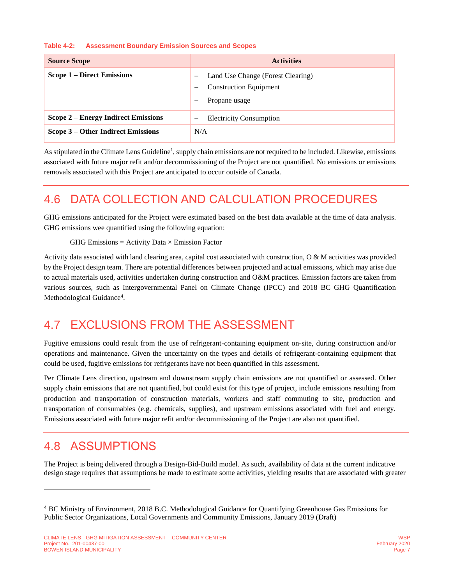#### <span id="page-11-3"></span>**Table 4-2: Assessment Boundary Emission Sources and Scopes**

| <b>Source Scope</b>                 | <b>Activities</b>                                                                        |
|-------------------------------------|------------------------------------------------------------------------------------------|
| <b>Scope 1 – Direct Emissions</b>   | Land Use Change (Forest Clearing)<br><b>Construction Equipment</b><br>—<br>Propane usage |
| Scope 2 – Energy Indirect Emissions | <b>Electricity Consumption</b>                                                           |
| Scope 3 – Other Indirect Emissions  | N/A                                                                                      |

As stipulated in the Climate Lens Guideline<sup>1</sup>[,](#page-6-1) supply chain emissions are not required to be included. Likewise, emissions associated with future major refit and/or decommissioning of the Project are not quantified. No emissions or emissions removals associated with this Project are anticipated to occur outside of Canada.

## <span id="page-11-0"></span>4.6 DATA COLLECTION AND CALCULATION PROCEDURES

GHG emissions anticipated for the Project were estimated based on the best data available at the time of data analysis. GHG emissions wee quantified using the following equation:

<span id="page-11-4"></span>GHG Emissions = Activity Data  $\times$  Emission Factor

Activity data associated with land clearing area, capital cost associated with construction,  $\Omega \& M$  activities was provided by the Project design team. There are potential differences between projected and actual emissions, which may arise due to actual materials used, activities undertaken during construction and O&M practices. Emission factors are taken from various sources, such as Intergovernmental Panel on Climate Change (IPCC) and 2018 BC GHG Quantification Methodological Guidance<sup>4</sup>.

### <span id="page-11-1"></span>4.7 EXCLUSIONS FROM THE ASSESSMENT

Fugitive emissions could result from the use of refrigerant-containing equipment on-site, during construction and/or operations and maintenance. Given the uncertainty on the types and details of refrigerant-containing equipment that could be used, fugitive emissions for refrigerants have not been quantified in this assessment.

Per Climate Lens direction, upstream and downstream supply chain emissions are not quantified or assessed. Other supply chain emissions that are not quantified, but could exist for this type of project, include emissions resulting from production and transportation of construction materials, workers and staff commuting to site, production and transportation of consumables (e.g. chemicals, supplies), and upstream emissions associated with fuel and energy. Emissions associated with future major refit and/or decommissioning of the Project are also not quantified.

### <span id="page-11-2"></span>4.8 ASSUMPTIONS

l

The Project is being delivered through a Design-Bid-Build model. As such, availability of data at the current indicative design stage requires that assumptions be made to estimate some activities, yielding results that are associated with greater

<sup>4</sup> BC Ministry of Environment, 2018 B.C. Methodological Guidance for Quantifying Greenhouse Gas Emissions for Public Sector Organizations, Local Governments and Community Emissions, January 2019 (Draft)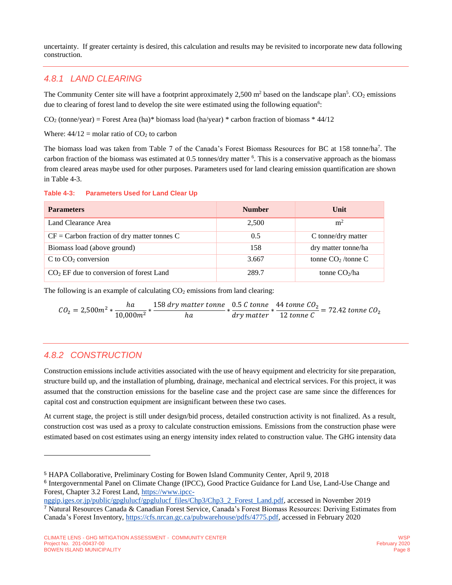uncertainty. If greater certainty is desired, this calculation and results may be revisited to incorporate new data following construction.

#### <span id="page-12-2"></span>*4.8.1 LAND CLEARING*

<span id="page-12-1"></span>The Community Center site will have a footprint approximately  $2,500$  m<sup>2</sup> based on the landscape plan<sup>5</sup>. CO<sub>2</sub> emissions due to clearing of forest land to develop the site were estimated using the following equation<sup>6</sup>:

 $CO<sub>2</sub>$  (tonne/year) = Forest Area (ha)\* biomass load (ha/year) \* carbon fraction of biomass \* 44/12

Where:  $44/12$  = molar ratio of  $CO<sub>2</sub>$  to carbon

The biomass load was taken from Table 7 of the Canada's Forest Biomass Resources for BC at 158 tonne/ha<sup>7</sup>. The carbon fraction of the biomass was estimated at 0.5 tonnes/dry matter <sup>[6](#page-12-1)</sup>. This is a conservative approach as the biomass from cleared areas maybe used for other purposes. Parameters used for land clearing emission quantification are shown in [Table 4-3.](#page-12-0)

<span id="page-12-0"></span>

| <b>Table 4-3:</b> | <b>Parameters Used for Land Clear Up</b> |  |  |  |  |
|-------------------|------------------------------------------|--|--|--|--|
|-------------------|------------------------------------------|--|--|--|--|

| <b>Parameters</b>                             | <b>Number</b> | Unit                 |
|-----------------------------------------------|---------------|----------------------|
| Land Clearance Area                           | 2,500         | m <sup>2</sup>       |
| $CF = Carbon$ fraction of dry matter tonnes C | 0.5           | C tonne/dry matter   |
| Biomass load (above ground)                   | 158           | dry matter tonne/ha  |
| $C$ to $CO2$ conversion                       | 3.667         | tonne $CO2$ /tonne C |
| $CO2$ EF due to conversion of forest Land     | 289.7         | tonne $CO2/ha$       |

The following is an example of calculating  $CO<sub>2</sub>$  emissions from land clearing:

$$
CO_2 = 2,500m^2 * \frac{ha}{10,000m^2} * \frac{158 \, dry\, matter\, tonne}{ha} * \frac{0.5\,C\,tonne}{dry\,matter} * \frac{44\,tonne\, CO_2}{12\,tonne\, C} = 72.42\,tonne\, CO_2
$$

#### *4.8.2 CONSTRUCTION*

l

Construction emissions include activities associated with the use of heavy equipment and electricity for site preparation, structure build up, and the installation of plumbing, drainage, mechanical and electrical services. For this project, it was assumed that the construction emissions for the baseline case and the project case are same since the differences for capital cost and construction equipment are insignificant between these two cases.

At current stage, the project is still under design/bid process, detailed construction activity is not finalized. As a result, construction cost was used as a proxy to calculate construction emissions. Emissions from the construction phase were estimated based on cost estimates using an energy intensity index related to construction value. The GHG intensity data

<sup>5</sup> HAPA Collaborative, Preliminary Costing for Bowen Island Community Center, April 9, 2018

<sup>6</sup> Intergovernmental Panel on Climate Change (IPCC), Good Practice Guidance for Land Use, Land-Use Change and Forest, Chapter 3.2 Forest Land, [https://www.ipcc-](https://www.ipcc-nggip.iges.or.jp/public/gpglulucf/gpglulucf_files/Chp3/Chp3_2_Forest_Land.pdf)

[nggip.iges.or.jp/public/gpglulucf/gpglulucf\\_files/Chp3/Chp3\\_2\\_Forest\\_Land.pdf,](https://www.ipcc-nggip.iges.or.jp/public/gpglulucf/gpglulucf_files/Chp3/Chp3_2_Forest_Land.pdf) accessed in November 2019 <sup>7</sup> Natural Resources Canada & Canadian Forest Service, Canada's Forest Biomass Resources: Deriving Estimates from Canada's Forest Inventory, [https://cfs.nrcan.gc.ca/pubwarehouse/pdfs/4775.pdf,](https://cfs.nrcan.gc.ca/pubwarehouse/pdfs/4775.pdf) accessed in February 2020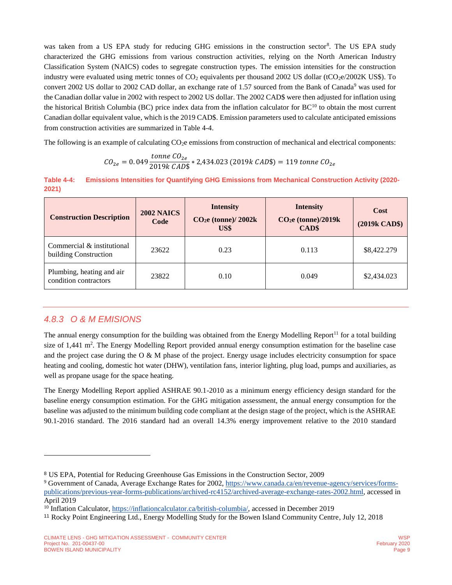was taken from a US EPA study for reducing GHG emissions in the construction sector<sup>8</sup>. The US EPA study characterized the GHG emissions from various construction activities, relying on the North American Industry Classification System (NAICS) codes to segregate construction types. The emission intensities for the construction industry were evaluated using metric tonnes of  $CO_2$  equivalents per thousand 2002 US dollar (tCO<sub>2</sub>e/2002K US\$). To convert 2002 US dollar to 2002 CAD dollar, an exchange rate of 1.57 sourced from the Bank of Canada<sup>9</sup> was used for the Canadian dollar value in 2002 with respect to 2002 US dollar. The 2002 CAD\$ were then adjusted for inflation using the historical British Columbia (BC) price index data from the inflation calculator for  $BC^{10}$  to obtain the most current Canadian dollar equivalent value, which is the 2019 CAD\$. Emission parameters used to calculate anticipated emissions from construction activities are summarized in [Table 4-4.](#page-13-0)

The following is an example of calculating CO<sub>2</sub>e emissions from construction of mechanical and electrical components:

$$
CO_{2e} = 0.049 \frac{tonne \ CO_{2e}}{2019k \ CAD\$} * 2,434.023 \ (2019k \ CAD\$) = 119 \ tonne \ CO_{2e}
$$

<span id="page-13-0"></span>**Table 4-4: Emissions Intensities for Quantifying GHG Emissions from Mechanical Construction Activity (2020- 2021)**

| <b>Construction Description</b>                     | <b>2002 NAICS</b><br>Code | <b>Intensity</b><br>$CO2e$ (tonne)/ $2002k$<br>US\$ | <b>Intensity</b><br>CO <sub>2</sub> e (tonne)/2019k<br>CAD\$ | Cost<br>(2019k CAD\$) |
|-----------------------------------------------------|---------------------------|-----------------------------------------------------|--------------------------------------------------------------|-----------------------|
| Commercial & institutional<br>building Construction | 23622                     | 0.23                                                | 0.113                                                        | \$8,422.279           |
| Plumbing, heating and air<br>condition contractors  | 23822                     | 0.10                                                | 0.049                                                        | \$2,434.023           |

#### *4.8.3 O & M EMISIONS*

l

<span id="page-13-1"></span>The annual energy consumption for the building was obtained from the Energy Modelling Report<sup>11</sup> for a total building size of 1,441 m<sup>2</sup>. The Energy Modelling Report provided annual energy consumption estimation for the baseline case and the project case during the  $\overline{O} \& M$  phase of the project. Energy usage includes electricity consumption for space heating and cooling, domestic hot water (DHW), ventilation fans, interior lighting, plug load, pumps and auxiliaries, as well as propane usage for the space heating.

The Energy Modelling Report applied ASHRAE 90.1-2010 as a minimum energy efficiency design standard for the baseline energy consumption estimation. For the GHG mitigation assessment, the annual energy consumption for the baseline was adjusted to the minimum building code compliant at the design stage of the project, which is the ASHRAE 90.1-2016 standard. The 2016 standard had an overall 14.3% energy improvement relative to the 2010 standard

<sup>8</sup> US EPA, Potential for Reducing Greenhouse Gas Emissions in the Construction Sector, 2009

<sup>&</sup>lt;sup>9</sup> Government of Canada, Average Exchange Rates for 2002, [https://www.canada.ca/en/revenue-agency/services/forms](https://www.canada.ca/en/revenue-agency/services/forms-publications/previous-year-forms-publications/archived-rc4152/archived-average-exchange-rates-2002.html)[publications/previous-year-forms-publications/archived-rc4152/archived-average-exchange-rates-2002.html,](https://www.canada.ca/en/revenue-agency/services/forms-publications/previous-year-forms-publications/archived-rc4152/archived-average-exchange-rates-2002.html) accessed in April 2019

<sup>&</sup>lt;sup>10</sup> Inflation Calculator, [https://inflationcalculator.ca/british-columbia/,](https://inflationcalculator.ca/british-columbia/) accessed in December 2019

<sup>11</sup> Rocky Point Engineering Ltd., Energy Modelling Study for the Bowen Island Community Centre, July 12, 2018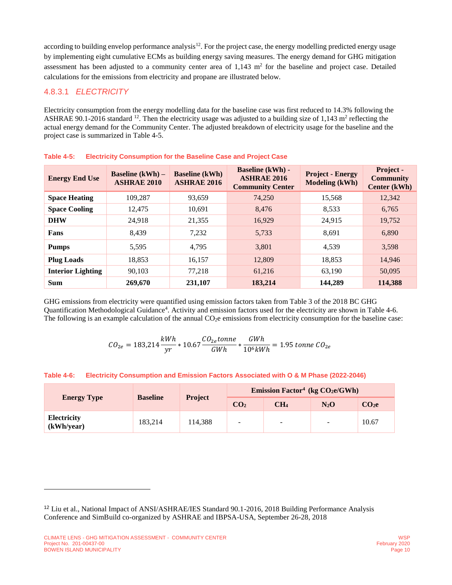<span id="page-14-2"></span>according to building envelop performance analysis<sup>12</sup>. For the project case, the energy modelling predicted energy usage by implementing eight cumulative ECMs as building energy saving measures. The energy demand for GHG mitigation assessment has been adjusted to a community center area of  $1,143$  m<sup>2</sup> for the baseline and project case. Detailed calculations for the emissions from electricity and propane are illustrated below.

#### 4.8.3.1 *ELECTRICITY*

Electricity consumption from the energy modelling data for the baseline case was first reduced to 14.3% following the ASHRAE 90.1-2016 standard  $^{12}$  $^{12}$  $^{12}$ . Then the electricity usage was adjusted to a building size of 1,143 m<sup>2</sup> reflecting the actual energy demand for the Community Center. The adjusted breakdown of electricity usage for the baseline and the project case is summarized in [Table 4-5.](#page-14-0)

| <b>Energy End Use</b>    | <b>Baseline</b> $(kWh)$ –<br><b>ASHRAE 2010</b> | <b>Baseline</b> (kWh)<br><b>ASHRAE 2016</b> | <b>Baseline (kWh) -</b><br><b>ASHRAE 2016</b><br><b>Community Center</b> | <b>Project - Energy</b><br><b>Modeling (kWh)</b> | Project -<br><b>Community</b><br>Center (kWh) |
|--------------------------|-------------------------------------------------|---------------------------------------------|--------------------------------------------------------------------------|--------------------------------------------------|-----------------------------------------------|
| <b>Space Heating</b>     | 109,287                                         | 93,659                                      | 74,250                                                                   | 15,568                                           | 12,342                                        |
| <b>Space Cooling</b>     | 12,475                                          | 10,691                                      | 8.476                                                                    | 8,533                                            | 6,765                                         |
| <b>DHW</b>               | 24.918                                          | 21,355                                      | 16,929                                                                   | 24,915                                           | 19,752                                        |
| Fans                     | 8.439                                           | 7,232                                       | 5,733                                                                    | 8.691                                            | 6,890                                         |
| <b>Pumps</b>             | 5,595                                           | 4.795                                       | 3,801                                                                    | 4,539                                            | 3,598                                         |
| <b>Plug Loads</b>        | 18,853                                          | 16,157                                      | 12,809                                                                   | 18,853                                           | 14,946                                        |
| <b>Interior Lighting</b> | 90,103                                          | 77,218                                      | 61,216                                                                   | 63,190                                           | 50,095                                        |
| <b>Sum</b>               | 269,670                                         | 231,107                                     | 183,214                                                                  | 144,289                                          | 114,388                                       |

<span id="page-14-0"></span>

|  | Table 4-5: Electricity Consumption for the Baseline Case and Project Case |
|--|---------------------------------------------------------------------------|
|--|---------------------------------------------------------------------------|

GHG emissions from electricity were quantified using emission factors taken from Table 3 of the 2018 BC GHG Quantification Methodological Guidance<sup>[4](#page-11-4)</sup>. Activity and emission factors used for the electricity are shown in [Table 4-6.](#page-14-1) The following is an example calculation of the annual  $CO<sub>2</sub>e$  emissions from electricity consumption for the baseline case:

$$
CO_{2e} = 183,214 \frac{kWh}{yr} * 10.67 \frac{CO_{2e}tonne}{GWh} * \frac{GWh}{10^6 kWh} = 1.95 \text{ tonne } CO_{2e}
$$

<span id="page-14-1"></span>

|  |  |  | Table 4-6: Electricity Consumption and Emission Factors Associated with O & M Phase (2022-2046) |  |  |  |
|--|--|--|-------------------------------------------------------------------------------------------------|--|--|--|
|--|--|--|-------------------------------------------------------------------------------------------------|--|--|--|

|                                       |                 | <b>Project</b> | Emission Factor <sup>4</sup> (kg $CO2e/GWh$ ) |                          |                   |       |
|---------------------------------------|-----------------|----------------|-----------------------------------------------|--------------------------|-------------------|-------|
| <b>Baseline</b><br><b>Energy Type</b> | CO <sub>2</sub> |                | CH <sub>4</sub>                               | $N_2O$                   | CO <sub>2</sub> e |       |
| <b>Electricity</b><br>(kWh/year)      | 183.214         | 114.388        | $\overline{\phantom{a}}$                      | $\overline{\phantom{0}}$ | $\sim$            | 10.67 |

l

<sup>12</sup> Liu et al., National Impact of ANSI/ASHRAE/IES Standard 90.1-2016, 2018 Building Performance Analysis Conference and SimBuild co-organized by ASHRAE and IBPSA-USA, September 26-28, 2018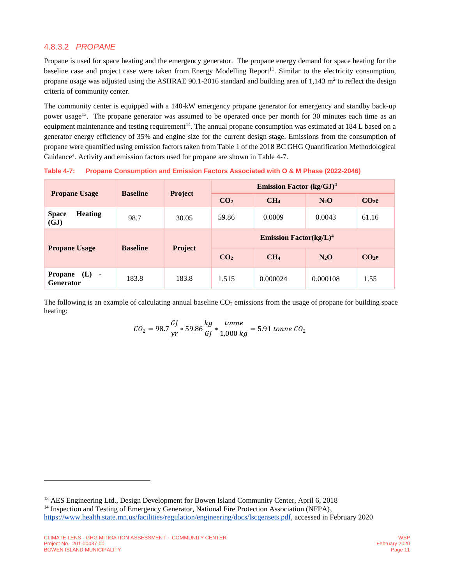#### 4.8.3.2 *PROPANE*

Propane is used for space heating and the emergency generator. The propane energy demand for space heating for the baseline case and project case were taken from Energy Modelling Report<sup>[11](#page-13-1)</sup>. Similar to the electricity consumption, propane usage was adjusted using the ASHRAE 90.1-2016 standard and building area of 1,143  $m<sup>2</sup>$  to reflect the design criteria of community center.

The community center is equipped with a 140-kW emergency propane generator for emergency and standby back-up power usage<sup>13</sup>. The propane generator was assumed to be operated once per month for 30 minutes each time as an equipment maintenance and testing requirement<sup>14</sup>. The annual propane consumption was estimated at 184 L based on a generator energy efficiency of 35% and engine size for the current design stage. Emissions from the consumption of propane were quantified using emission factors taken from Table 1 of the 2018 BC GHG Quantification Methodological Guidance<sup>[4](#page-11-4)</sup>. Activity and emission factors used for propane are shown in [Table 4-7.](#page-15-0)

<span id="page-15-0"></span>**Table 4-7: Propane Consumption and Emission Factors Associated with O & M Phase (2022-2046)**

|                                               | <b>Baseline</b> |                | <b>Emission Factor</b> $(kg/GJ)^4$             |                 |          |                   |
|-----------------------------------------------|-----------------|----------------|------------------------------------------------|-----------------|----------|-------------------|
| <b>Propane Usage</b>                          |                 | <b>Project</b> | CO <sub>2</sub>                                | CH <sub>4</sub> | $N_2O$   | CO <sub>2</sub> e |
| <b>Heating</b><br><b>Space</b><br>(GJ)        | 98.7            | 30.05          | 59.86                                          | 0.0009          | 0.0043   | 61.16             |
|                                               |                 |                | <b>Emission Factor</b> ( $kg/L$ ) <sup>4</sup> |                 |          |                   |
| <b>Propane Usage</b>                          | <b>Baseline</b> | Project        | CO <sub>2</sub>                                | CH <sub>4</sub> | $N_2O$   | CO <sub>2</sub> e |
| <b>Propane</b><br>$(L) -$<br><b>Generator</b> | 183.8           | 183.8          | 1.515                                          | 0.000024        | 0.000108 | 1.55              |

The following is an example of calculating annual baseline  $CO<sub>2</sub>$  emissions from the usage of propane for building space heating:

$$
CO_2 = 98.7 \frac{GI}{yr} * 59.86 \frac{kg}{GI} * \frac{tonne}{1,000 kg} = 5.91 \text{ tonne } CO_2
$$

 $\overline{a}$ 

<sup>&</sup>lt;sup>13</sup> AES Engineering Ltd., Design Development for Bowen Island Community Center, April 6, 2018 <sup>14</sup> Inspection and Testing of Emergency Generator, National Fire Protection Association (NFPA), [https://www.health.state.mn.us/facilities/regulation/engineering/docs/lscgensets.pdf,](https://www.health.state.mn.us/facilities/regulation/engineering/docs/lscgensets.pdf) accessed in February 2020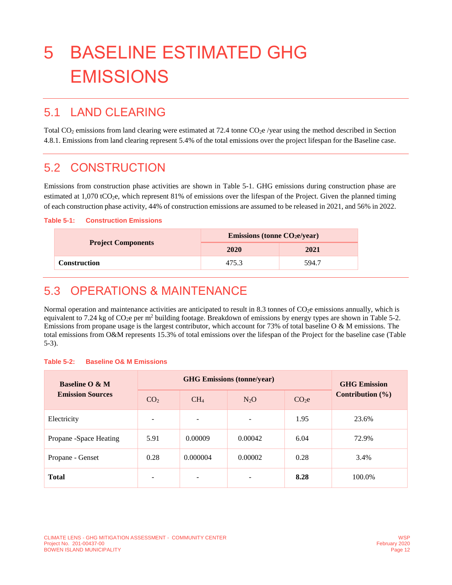# <span id="page-16-0"></span>5 BASELINE ESTIMATED GHG **EMISSIONS**

### <span id="page-16-1"></span>5.1 LAND CLEARING

Total CO<sub>2</sub> emissions from land clearing were estimated at 72.4 tonne CO<sub>2</sub>e /year using the method described in Section [4.8.1.](#page-12-2) Emissions from land clearing represent 5.4% of the total emissions over the project lifespan for the Baseline case.

### <span id="page-16-2"></span>5.2 CONSTRUCTION

Emissions from construction phase activities are shown in [Table 5-1.](#page-16-4) GHG emissions during construction phase are estimated at 1,070 tCO2e, which represent 81% of emissions over the lifespan of the Project. Given the planned timing of each construction phase activity, 44% of construction emissions are assumed to be released in 2021, and 56% in 2022.

#### <span id="page-16-4"></span>**Table 5-1: Construction Emissions**

|                           | <b>Emissions (tonne CO2e/year)</b> |       |  |
|---------------------------|------------------------------------|-------|--|
| <b>Project Components</b> | 2020                               | 2021  |  |
| <b>Construction</b>       | 475.3                              | 594.7 |  |

### <span id="page-16-3"></span>5.3 OPERATIONS & MAINTENANCE

Normal operation and maintenance activities are anticipated to result in 8.3 tonnes of  $CO<sub>2</sub>e$  emissions annually, which is equivalent to 7.24 kg of  $CO<sub>2</sub>e$  per m<sup>2</sup> building footage. Breakdown of emissions by energy types are shown in [Table 5-2.](#page-16-5) Emissions from propane usage is the largest contributor, which account for 73% of total baseline O & M emissions. The total emissions from O&M represents 15.3% of total emissions over the lifespan of the Project for the baseline case [\(Table](#page-17-1)  [5-3\)](#page-17-1).

<span id="page-16-5"></span>

| <b>Table 5-2:</b> |  |  | <b>Baseline O&amp; M Emissions</b> |
|-------------------|--|--|------------------------------------|
|-------------------|--|--|------------------------------------|

| <b>Baseline O &amp; M</b> |                          | <b>GHG Emission</b> |         |                   |                      |  |
|---------------------------|--------------------------|---------------------|---------|-------------------|----------------------|--|
| <b>Emission Sources</b>   | CO <sub>2</sub>          | CH <sub>4</sub>     | $N_2O$  | CO <sub>2</sub> e | Contribution $(\% )$ |  |
| Electricity               | $\overline{\phantom{a}}$ |                     | -       | 1.95              | 23.6%                |  |
| Propane -Space Heating    | 5.91                     | 0.00009             | 0.00042 | 6.04              | 72.9%                |  |
| Propane - Genset          | 0.28                     | 0.000004            | 0.00002 | 0.28              | 3.4%                 |  |
| <b>Total</b>              | ۰                        |                     | -       | 8.28              | 100.0%               |  |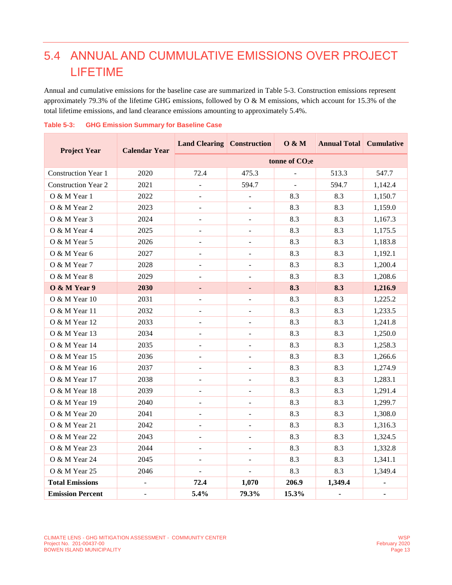# <span id="page-17-0"></span>5.4 ANNUAL AND CUMMULATIVE EMISSIONS OVER PROJECT LIFETIME

Annual and cumulative emissions for the baseline case are summarized in [Table 5-3.](#page-17-1) Construction emissions represent approximately 79.3% of the lifetime GHG emissions, followed by O & M emissions, which account for 15.3% of the total lifetime emissions, and land clearance emissions amounting to approximately 5.4%.

| <b>Project Year</b>        | <b>Calendar Year</b> | <b>Land Clearing Construction</b> |                          | 0 & M                      | <b>Annual Total Cumulative</b> |         |
|----------------------------|----------------------|-----------------------------------|--------------------------|----------------------------|--------------------------------|---------|
|                            |                      |                                   |                          | tonne of CO <sub>2</sub> e |                                |         |
| <b>Construction Year 1</b> | 2020                 | 72.4                              | 475.3                    |                            | 513.3                          | 547.7   |
| <b>Construction Year 2</b> | 2021                 | $\overline{\phantom{a}}$          | 594.7                    | $\overline{\phantom{a}}$   | 594.7                          | 1,142.4 |
| O & M Year 1               | 2022                 |                                   | $\overline{a}$           | 8.3                        | 8.3                            | 1,150.7 |
| O & M Year 2               | 2023                 | $\blacksquare$                    | $\blacksquare$           | 8.3                        | 8.3                            | 1,159.0 |
| O & M Year 3               | 2024                 |                                   |                          | 8.3                        | 8.3                            | 1,167.3 |
| O & M Year 4               | 2025                 | $\overline{\phantom{a}}$          | $\overline{\phantom{a}}$ | 8.3                        | 8.3                            | 1,175.5 |
| O & M Year 5               | 2026                 | $\blacksquare$                    | $\Box$                   | 8.3                        | 8.3                            | 1,183.8 |
| O & M Year 6               | 2027                 | $\overline{a}$                    |                          | 8.3                        | 8.3                            | 1,192.1 |
| O & M Year 7               | 2028                 | $\sim$                            | $\blacksquare$           | 8.3                        | 8.3                            | 1,200.4 |
| O & M Year 8               | 2029                 | $\overline{\phantom{a}}$          |                          | 8.3                        | 8.3                            | 1,208.6 |
| O & M Year 9               | 2030                 | ٠                                 | ٠                        | 8.3                        | 8.3                            | 1,216.9 |
| O & M Year 10              | 2031                 | $\overline{\phantom{a}}$          | $\overline{\phantom{a}}$ | 8.3                        | 8.3                            | 1,225.2 |
| O & M Year 11              | 2032                 | $\Box$                            | $\overline{\phantom{a}}$ | 8.3                        | 8.3                            | 1,233.5 |
| O & M Year 12              | 2033                 | $\overline{\phantom{a}}$          | $\overline{\phantom{a}}$ | 8.3                        | 8.3                            | 1,241.8 |
| O & M Year 13              | 2034                 | $\overline{a}$                    | $\overline{a}$           | 8.3                        | 8.3                            | 1,250.0 |
| O & M Year 14              | 2035                 | $\blacksquare$                    | $\overline{\phantom{a}}$ | 8.3                        | 8.3                            | 1,258.3 |
| O & M Year 15              | 2036                 | $\overline{\phantom{0}}$          |                          | 8.3                        | 8.3                            | 1,266.6 |
| O & M Year 16              | 2037                 | $\overline{a}$                    | $\blacksquare$           | 8.3                        | 8.3                            | 1,274.9 |
| O & M Year 17              | 2038                 | $\blacksquare$                    | $\overline{\phantom{a}}$ | 8.3                        | 8.3                            | 1,283.1 |
| O & M Year 18              | 2039                 |                                   |                          | 8.3                        | 8.3                            | 1,291.4 |
| O & M Year 19              | 2040                 | $\overline{\phantom{a}}$          | $\blacksquare$           | 8.3                        | 8.3                            | 1,299.7 |
| O & M Year 20              | 2041                 | $\sim$                            | $\overline{\phantom{a}}$ | 8.3                        | 8.3                            | 1,308.0 |
| O & M Year 21              | 2042                 | $\overline{\phantom{a}}$          | $\overline{\phantom{a}}$ | 8.3                        | 8.3                            | 1,316.3 |
| O & M Year 22              | 2043                 | $\Box$                            | $\Box$                   | 8.3                        | 8.3                            | 1,324.5 |
| O & M Year 23              | 2044                 |                                   |                          | 8.3                        | 8.3                            | 1,332.8 |
| O & M Year 24              | 2045                 |                                   |                          | 8.3                        | 8.3                            | 1,341.1 |
| O & M Year 25              | 2046                 | $\blacksquare$                    |                          | 8.3                        | 8.3                            | 1,349.4 |
| <b>Total Emissions</b>     |                      | 72.4                              | 1,070                    | 206.9                      | 1,349.4                        |         |
| <b>Emission Percent</b>    | ÷.                   | 5.4%                              | 79.3%                    | 15.3%                      | $\blacksquare$                 |         |

#### <span id="page-17-1"></span>**Table 5-3: GHG Emission Summary for Baseline Case**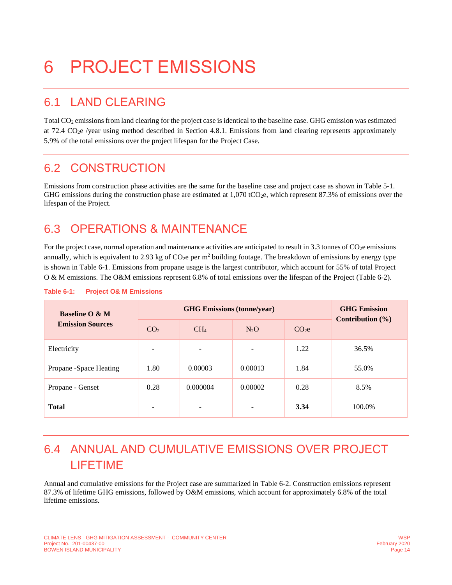# <span id="page-18-0"></span>6 PROJECT EMISSIONS

### <span id="page-18-1"></span>6.1 LAND CLEARING

Total CO<sub>2</sub> emissions from land clearing for the project case is identical to the baseline case. GHG emission was estimated at 72.4  $CO<sub>2</sub>e$  /year using method described in Section [4.8.1.](#page-12-2) Emissions from land clearing represents approximately 5.9% of the total emissions over the project lifespan for the Project Case.

### <span id="page-18-2"></span>6.2 CONSTRUCTION

Emissions from construction phase activities are the same for the baseline case and project case as shown in [Table 5-1.](#page-16-4) GHG emissions during the construction phase are estimated at  $1,070$  tCO<sub>2</sub>e, which represent 87.3% of emissions over the lifespan of the Project.

### <span id="page-18-3"></span>6.3 OPERATIONS & MAINTENANCE

For the project case, normal operation and maintenance activities are anticipated to result in  $3.3$  tonnes of  $CO<sub>2</sub>e$  emissions annually, which is equivalent to 2.93 kg of  $CO<sub>2</sub>e$  per m<sup>2</sup> building footage. The breakdown of emissions by energy type is shown in [Table 6-1.](#page-18-5) Emissions from propane usage is the largest contributor, which account for 55% of total Project O & M emissions. The O&M emissions represent 6.8% of total emissions over the lifespan of the Project [\(Table 6-2\)](#page-19-0).

| <b>Baseline O &amp; M</b> |                          | <b>GHG Emission</b><br>Contribution $(\% )$ |         |                 |        |  |
|---------------------------|--------------------------|---------------------------------------------|---------|-----------------|--------|--|
| <b>Emission Sources</b>   | CO <sub>2</sub>          | CH <sub>4</sub>                             | $N_2O$  | CO <sub>2</sub> |        |  |
| Electricity               | $\overline{\phantom{m}}$ | ۰                                           | ٠       | 1.22            | 36.5%  |  |
| Propane -Space Heating    | 1.80                     | 0.00003                                     | 0.00013 | 1.84            | 55.0%  |  |
| Propane - Genset          | 0.28                     | 0.000004                                    | 0.00002 | 0.28            | 8.5%   |  |
| <b>Total</b>              | $\overline{\phantom{0}}$ | ۰                                           | -       | 3.34            | 100.0% |  |

#### <span id="page-18-5"></span>**Table 6-1: Project O& M Emissions**

# <span id="page-18-4"></span>6.4 ANNUAL AND CUMULATIVE EMISSIONS OVER PROJECT LIFETIME

Annual and cumulative emissions for the Project case are summarized in [Table 6-2.](#page-19-0) Construction emissions represent 87.3% of lifetime GHG emissions, followed by O&M emissions, which account for approximately 6.8% of the total lifetime emissions.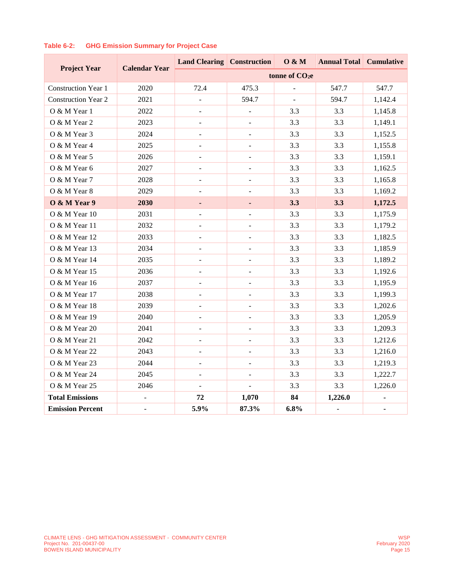|                            | <b>Calendar Year</b> | <b>Land Clearing Construction</b> |                          | 0 & M                      | <b>Annual Total Cumulative</b> |         |
|----------------------------|----------------------|-----------------------------------|--------------------------|----------------------------|--------------------------------|---------|
| <b>Project Year</b>        |                      |                                   |                          | tonne of CO <sub>2</sub> e |                                |         |
| <b>Construction Year 1</b> | 2020                 | 72.4                              | 475.3                    |                            | 547.7                          | 547.7   |
| <b>Construction Year 2</b> | 2021                 |                                   | 594.7                    |                            | 594.7                          | 1,142.4 |
| O & M Year 1               | 2022                 | $\frac{1}{2}$                     | $\Box$                   | 3.3                        | 3.3                            | 1,145.8 |
| O & M Year 2               | 2023                 | $\overline{\phantom{a}}$          | $\Box$                   | 3.3                        | 3.3                            | 1,149.1 |
| O & M Year 3               | 2024                 | $\sim$                            | $\overline{a}$           | 3.3                        | 3.3                            | 1,152.5 |
| O & M Year 4               | 2025                 | $\blacksquare$                    | $\blacksquare$           | 3.3                        | 3.3                            | 1,155.8 |
| O & M Year 5               | 2026                 | $\overline{\phantom{a}}$          |                          | 3.3                        | 3.3                            | 1,159.1 |
| O & M Year 6               | 2027                 | $\overline{\phantom{a}}$          | $\blacksquare$           | 3.3                        | 3.3                            | 1,162.5 |
| O & M Year 7               | 2028                 | $\frac{1}{2}$                     | $\Box$                   | 3.3                        | 3.3                            | 1,165.8 |
| O & M Year 8               | 2029                 | $\overline{\phantom{a}}$          |                          | 3.3                        | 3.3                            | 1,169.2 |
| O & M Year 9               | 2030                 | ٠                                 | ٠                        | 3.3                        | 3.3                            | 1,172.5 |
| O & M Year 10              | 2031                 | $\sim$                            | $\sim$                   | 3.3                        | 3.3                            | 1,175.9 |
| O & M Year 11              | 2032                 | $\overline{\phantom{a}}$          | $\overline{\phantom{a}}$ | 3.3                        | 3.3                            | 1,179.2 |
| O & M Year 12              | 2033                 | $\blacksquare$                    | $\Box$                   | 3.3                        | 3.3                            | 1,182.5 |
| O & M Year 13              | 2034                 |                                   |                          | 3.3                        | 3.3                            | 1,185.9 |
| O & M Year 14              | 2035                 | $\overline{\phantom{a}}$          | $\overline{\phantom{a}}$ | 3.3                        | 3.3                            | 1,189.2 |
| O & M Year 15              | 2036                 | $\blacksquare$                    | $\overline{\phantom{a}}$ | 3.3                        | 3.3                            | 1,192.6 |
| O & M Year 16              | 2037                 | $\overline{\phantom{a}}$          | $\overline{\phantom{a}}$ | 3.3                        | 3.3                            | 1,195.9 |
| O & M Year 17              | 2038                 | $\blacksquare$                    | $\overline{\phantom{a}}$ | 3.3                        | 3.3                            | 1,199.3 |
| O & M Year 18              | 2039                 | $\overline{\phantom{a}}$          | $\overline{\phantom{a}}$ | 3.3                        | 3.3                            | 1,202.6 |
| O & M Year 19              | 2040                 |                                   |                          | 3.3                        | 3.3                            | 1,205.9 |
| O & M Year 20              | 2041                 | $\overline{\phantom{a}}$          | $\overline{\phantom{a}}$ | 3.3                        | 3.3                            | 1,209.3 |
| O & M Year 21              | 2042                 | $\overline{\phantom{a}}$          | $\overline{\phantom{a}}$ | 3.3                        | 3.3                            | 1,212.6 |
| O & M Year 22              | 2043                 | $\blacksquare$                    | $\blacksquare$           | 3.3                        | 3.3                            | 1,216.0 |
| O & M Year 23              | 2044                 | $\blacksquare$                    | $\blacksquare$           | 3.3                        | 3.3                            | 1,219.3 |
| O & M Year 24              | 2045                 | $\overline{\phantom{a}}$          |                          | 3.3                        | 3.3                            | 1,222.7 |
| O & M Year 25              | 2046                 |                                   |                          | 3.3                        | 3.3                            | 1,226.0 |
| <b>Total Emissions</b>     | $\overline{a}$       | 72                                | 1,070                    | 84                         | 1,226.0                        |         |
| <b>Emission Percent</b>    |                      | 5.9%                              | 87.3%                    | 6.8%                       | $\blacksquare$                 | -       |

#### <span id="page-19-0"></span>**Table 6-2: GHG Emission Summary for Project Case**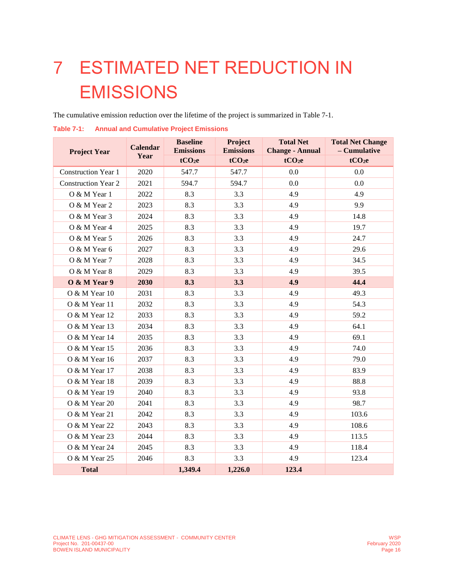# <span id="page-20-0"></span>7 ESTIMATED NET REDUCTION IN EMISSIONS

The cumulative emission reduction over the lifetime of the project is summarized i[n Table 7-1.](#page-20-1)

| <b>Project Year</b>        | <b>Calendar</b> | <b>Baseline</b><br><b>Emissions</b> | Project<br><b>Emissions</b> | <b>Total Net</b><br><b>Change - Annual</b> | <b>Total Net Change</b><br>- Cumulative |
|----------------------------|-----------------|-------------------------------------|-----------------------------|--------------------------------------------|-----------------------------------------|
|                            | Year            | tCO <sub>2</sub> e                  | tCO <sub>2</sub> e          | tCO <sub>2</sub> e                         | tCO <sub>2</sub> e                      |
| <b>Construction Year 1</b> | 2020            | 547.7                               | 547.7                       | 0.0                                        | 0.0                                     |
| <b>Construction Year 2</b> | 2021            | 594.7                               | 594.7                       | 0.0                                        | 0.0                                     |
| O & M Year 1               | 2022            | 8.3                                 | 3.3                         | 4.9                                        | 4.9                                     |
| O & M Year 2               | 2023            | 8.3                                 | 3.3                         | 4.9                                        | 9.9                                     |
| O & M Year 3               | 2024            | 8.3                                 | 3.3                         | 4.9                                        | 14.8                                    |
| O & M Year 4               | 2025            | 8.3                                 | 3.3                         | 4.9                                        | 19.7                                    |
| O & M Year 5               | 2026            | 8.3                                 | 3.3                         | 4.9                                        | 24.7                                    |
| O & M Year 6               | 2027            | 8.3                                 | 3.3                         | 4.9                                        | 29.6                                    |
| O & M Year 7               | 2028            | 8.3                                 | 3.3                         | 4.9                                        | 34.5                                    |
| O & M Year 8               | 2029            | 8.3                                 | 3.3                         | 4.9                                        | 39.5                                    |
| O & M Year 9               | 2030            | 8.3                                 | 3.3                         | 4.9                                        | 44.4                                    |
| O & M Year 10              | 2031            | 8.3                                 | 3.3                         | 4.9                                        | 49.3                                    |
| O & M Year 11              | 2032            | 8.3                                 | 3.3                         | 4.9                                        | 54.3                                    |
| O & M Year 12              | 2033            | 8.3                                 | 3.3                         | 4.9                                        | 59.2                                    |
| O & M Year 13              | 2034            | 8.3                                 | 3.3                         | 4.9                                        | 64.1                                    |
| O & M Year 14              | 2035            | 8.3                                 | 3.3                         | 4.9                                        | 69.1                                    |
| O & M Year 15              | 2036            | 8.3                                 | 3.3                         | 4.9                                        | 74.0                                    |
| O & M Year 16              | 2037            | 8.3                                 | 3.3                         | 4.9                                        | 79.0                                    |
| O & M Year 17              | 2038            | 8.3                                 | 3.3                         | 4.9                                        | 83.9                                    |
| O & M Year 18              | 2039            | 8.3                                 | 3.3                         | 4.9                                        | 88.8                                    |
| O & M Year 19              | 2040            | 8.3                                 | 3.3                         | 4.9                                        | 93.8                                    |
| O & M Year 20              | 2041            | 8.3                                 | 3.3                         | 4.9                                        | 98.7                                    |
| O & M Year 21              | 2042            | 8.3                                 | 3.3                         | 4.9                                        | 103.6                                   |
| O & M Year 22              | 2043            | 8.3                                 | 3.3                         | 4.9                                        | 108.6                                   |
| O & M Year 23              | 2044            | 8.3                                 | 3.3                         | 4.9                                        | 113.5                                   |
| O & M Year 24              | 2045            | 8.3                                 | 3.3                         | 4.9                                        | 118.4                                   |
| O & M Year 25              | 2046            | 8.3                                 | 3.3                         | 4.9                                        | 123.4                                   |
| <b>Total</b>               |                 | 1,349.4                             | 1,226.0                     | 123.4                                      |                                         |

#### <span id="page-20-1"></span>**Table 7-1: Annual and Cumulative Project Emissions**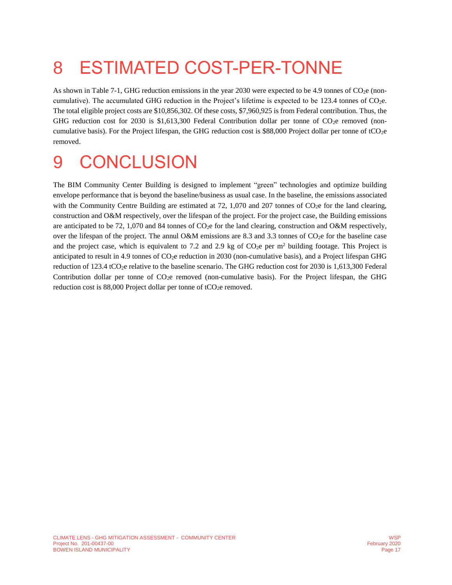# <span id="page-21-0"></span>8 ESTIMATED COST-PER-TONNE

As shown in [Table 7-1,](#page-20-1) GHG reduction emissions in the year 2030 were expected to be 4.9 tonnes of  $CO<sub>2</sub>e$  (noncumulative). The accumulated GHG reduction in the Project's lifetime is expected to be 123.4 tonnes of CO2e. The total eligible project costs are \$10,856,302. Of these costs, \$7,960,925 is from Federal contribution. Thus, the GHG reduction cost for 2030 is \$1,613,300 Federal Contribution dollar per tonne of  $CO<sub>2</sub>e$  removed (noncumulative basis). For the Project lifespan, the GHG reduction cost is \$88,000 Project dollar per tonne of tCO2e removed.

# <span id="page-21-1"></span>9 CONCLUSION

The BIM Community Center Building is designed to implement "green" technologies and optimize building envelope performance that is beyond the baseline/business as usual case. In the baseline, the emissions associated with the Community Centre Building are estimated at  $72$ , 1,070 and 207 tonnes of CO<sub>2</sub>e for the land clearing, construction and O&M respectively, over the lifespan of the project. For the project case, the Building emissions are anticipated to be 72, 1,070 and 84 tonnes of  $CO<sub>2</sub>e$  for the land clearing, construction and O&M respectively, over the lifespan of the project. The annul O&M emissions are 8.3 and 3.3 tonnes of  $CO<sub>2</sub>e$  for the baseline case and the project case, which is equivalent to 7.2 and 2.9 kg of  $CO<sub>2</sub>e$  per m<sup>2</sup> building footage. This Project is anticipated to result in 4.9 tonnes of CO<sub>2</sub>e reduction in 2030 (non-cumulative basis), and a Project lifespan GHG reduction of 123.4 tCO<sub>2</sub>e relative to the baseline scenario. The GHG reduction cost for 2030 is 1,613,300 Federal Contribution dollar per tonne of  $CO<sub>2</sub>e$  removed (non-cumulative basis). For the Project lifespan, the GHG reduction cost is  $88,000$  Project dollar per tonne of tCO<sub>2</sub>e removed.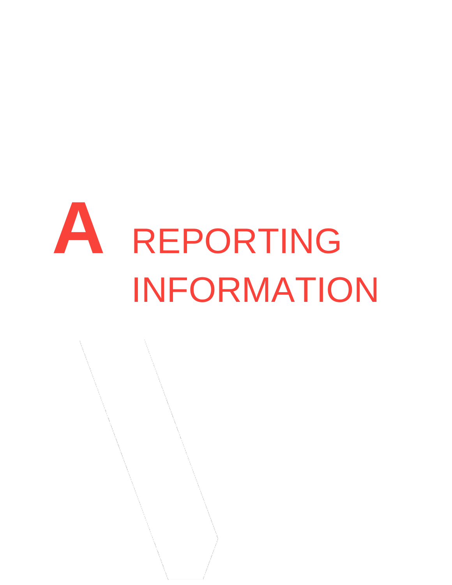# <span id="page-22-0"></span>**A** REPORTING INFORMATION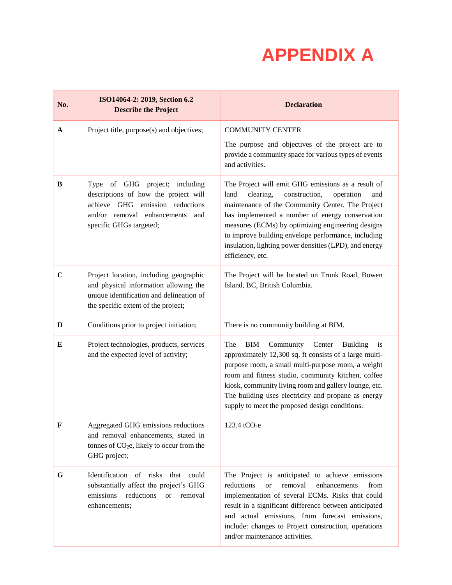# **APPENDIX A**

| No.          | ISO14064-2: 2019, Section 6.2<br><b>Describe the Project</b>                                                                                                               | <b>Declaration</b>                                                                                                                                                                                                                                                                                                                                                                                            |
|--------------|----------------------------------------------------------------------------------------------------------------------------------------------------------------------------|---------------------------------------------------------------------------------------------------------------------------------------------------------------------------------------------------------------------------------------------------------------------------------------------------------------------------------------------------------------------------------------------------------------|
| $\mathbf{A}$ | Project title, purpose(s) and objectives;                                                                                                                                  | <b>COMMUNITY CENTER</b><br>The purpose and objectives of the project are to<br>provide a community space for various types of events<br>and activities.                                                                                                                                                                                                                                                       |
| B            | Type of GHG project; including<br>descriptions of how the project will<br>achieve GHG emission reductions<br>and/or removal enhancements<br>and<br>specific GHGs targeted; | The Project will emit GHG emissions as a result of<br>clearing,<br>construction,<br>land<br>operation<br>and<br>maintenance of the Community Center. The Project<br>has implemented a number of energy conservation<br>measures (ECMs) by optimizing engineering designs<br>to improve building envelope performance, including<br>insulation, lighting power densities (LPD), and energy<br>efficiency, etc. |
| $\mathbf C$  | Project location, including geographic<br>and physical information allowing the<br>unique identification and delineation of<br>the specific extent of the project;         | The Project will be located on Trunk Road, Bowen<br>Island, BC, British Columbia.                                                                                                                                                                                                                                                                                                                             |
| D            | Conditions prior to project initiation;                                                                                                                                    | There is no community building at BIM.                                                                                                                                                                                                                                                                                                                                                                        |
| E            | Project technologies, products, services<br>and the expected level of activity;                                                                                            | The<br><b>BIM</b><br>Community Center<br><b>Building</b><br>is<br>approximately 12,300 sq. ft consists of a large multi-<br>purpose room, a small multi-purpose room, a weight<br>room and fitness studio, community kitchen, coffee<br>kiosk, community living room and gallery lounge, etc.<br>The building uses electricity and propane as energy<br>supply to meet the proposed design conditions.        |
| F            | Aggregated GHG emissions reductions<br>and removal enhancements, stated in<br>tonnes of $CO2e$ , likely to occur from the<br>GHG project;                                  | 123.4 tCO <sub>2</sub> e                                                                                                                                                                                                                                                                                                                                                                                      |
| G            | Identification of risks that could<br>substantially affect the project's GHG<br>emissions<br>reductions<br><sub>or</sub><br>removal<br>enhancements;                       | The Project is anticipated to achieve emissions<br>reductions<br>removal<br>enhancements<br>from<br>$\alpha$<br>implementation of several ECMs. Risks that could<br>result in a significant difference between anticipated<br>and actual emissions, from forecast emissions,<br>include: changes to Project construction, operations<br>and/or maintenance activities.                                        |